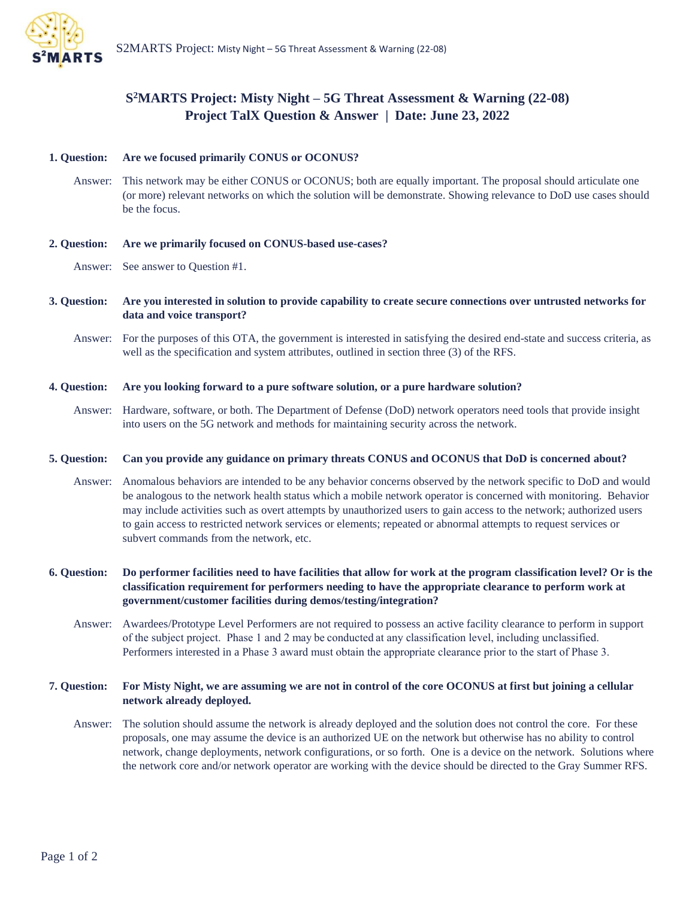

# **S <sup>2</sup>MARTS Project: Misty Night – 5G Threat Assessment & Warning (22-08) Project TalX Question & Answer | Date: June 23, 2022**

## **1. Question: Are we focused primarily CONUS or OCONUS?**

Answer: This network may be either CONUS or OCONUS; both are equally important. The proposal should articulate one (or more) relevant networks on which the solution will be demonstrate. Showing relevance to DoD use cases should be the focus.

## **2. Question: Are we primarily focused on CONUS-based use-cases?**

Answer: See answer to Question #1.

- **3. Question: Are you interested in solution to provide capability to create secure connections over untrusted networks for data and voice transport?**
	- Answer: For the purposes of this OTA, the government is interested in satisfying the desired end-state and success criteria, as well as the specification and system attributes, outlined in section three (3) of the RFS.

## **4. Question: Are you looking forward to a pure software solution, or a pure hardware solution?**

Answer: Hardware, software, or both. The Department of Defense (DoD) network operators need tools that provide insight into users on the 5G network and methods for maintaining security across the network.

## **5. Question: Can you provide any guidance on primary threats CONUS and OCONUS that DoD is concerned about?**

Answer: Anomalous behaviors are intended to be any behavior concerns observed by the network specific to DoD and would be analogous to the network health status which a mobile network operator is concerned with monitoring. Behavior may include activities such as overt attempts by unauthorized users to gain access to the network; authorized users to gain access to restricted network services or elements; repeated or abnormal attempts to request services or subvert commands from the network, etc.

**6. Question: Do performer facilities need to have facilities that allow for work at the program classification level? Or is the classification requirement for performers needing to have the appropriate clearance to perform work at government/customer facilities during demos/testing/integration?** 

Answer: Awardees/Prototype Level Performers are not required to possess an active facility clearance to perform in support of the subject project. Phase 1 and 2 may be conducted at any classification level, including unclassified.  Performers interested in a Phase 3 award must obtain the appropriate clearance prior to the start of Phase 3.  

## **7. Question: For Misty Night, we are assuming we are not in control of the core OCONUS at first but joining a cellular network already deployed.**

Answer: The solution should assume the network is already deployed and the solution does not control the core. For these proposals, one may assume the device is an authorized UE on the network but otherwise has no ability to control network, change deployments, network configurations, or so forth. One is a device on the network. Solutions where the network core and/or network operator are working with the device should be directed to the Gray Summer RFS.